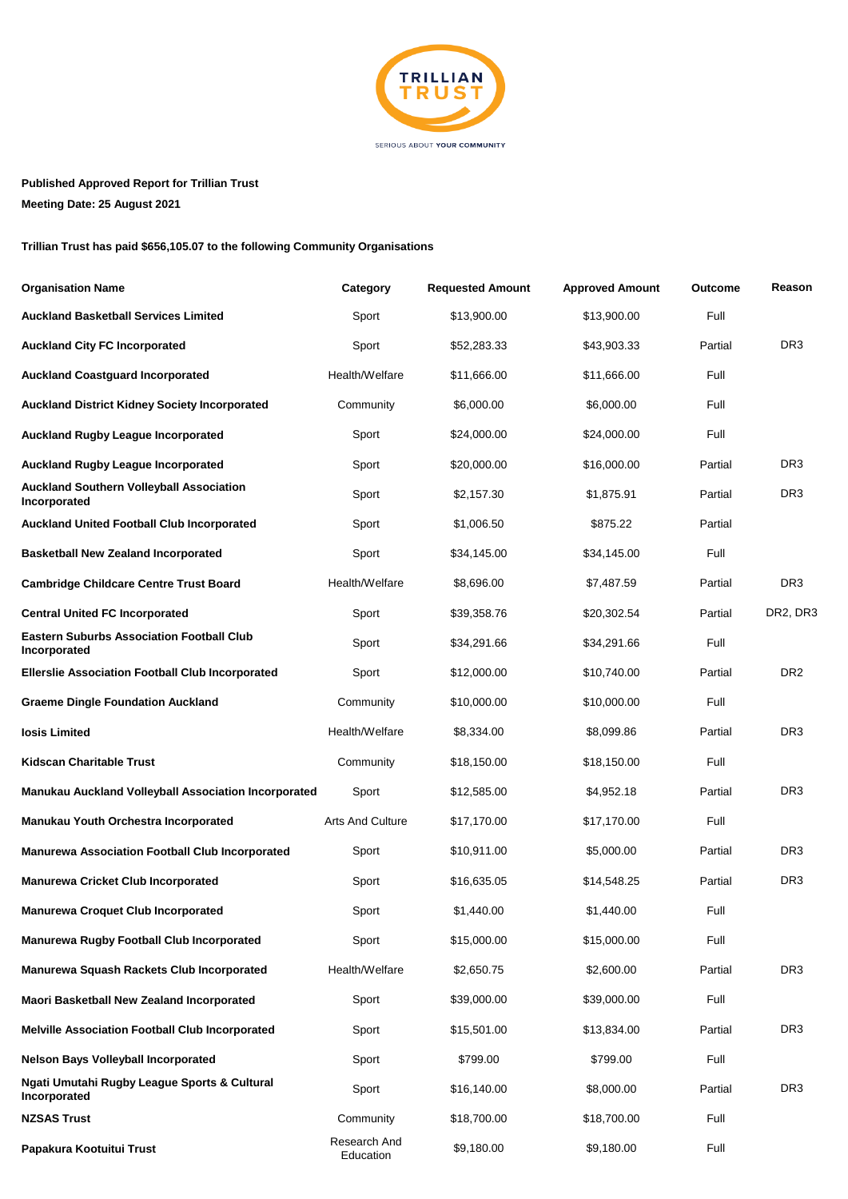

## **Published Approved Report for Trillian Trust**

**Meeting Date: 25 August 2021**

## **Trillian Trust has paid \$656,105.07 to the following Community Organisations**

| <b>Organisation Name</b>                                         | Category                  | <b>Requested Amount</b> | <b>Approved Amount</b> | <b>Outcome</b> | Reason          |
|------------------------------------------------------------------|---------------------------|-------------------------|------------------------|----------------|-----------------|
| <b>Auckland Basketball Services Limited</b>                      | Sport                     | \$13,900.00             | \$13,900.00            | Full           |                 |
| <b>Auckland City FC Incorporated</b>                             | Sport                     | \$52,283.33             | \$43,903.33            | Partial        | DR <sub>3</sub> |
| <b>Auckland Coastguard Incorporated</b>                          | Health/Welfare            | \$11,666.00             | \$11,666.00            | Full           |                 |
| <b>Auckland District Kidney Society Incorporated</b>             | Community                 | \$6,000.00              | \$6,000.00             | Full           |                 |
| <b>Auckland Rugby League Incorporated</b>                        | Sport                     | \$24,000.00             | \$24,000.00            | Full           |                 |
| <b>Auckland Rugby League Incorporated</b>                        | Sport                     | \$20,000.00             | \$16,000.00            | Partial        | DR <sub>3</sub> |
| <b>Auckland Southern Volleyball Association</b><br>Incorporated  | Sport                     | \$2,157.30              | \$1,875.91             | Partial        | DR <sub>3</sub> |
| <b>Auckland United Football Club Incorporated</b>                | Sport                     | \$1,006.50              | \$875.22               | Partial        |                 |
| <b>Basketball New Zealand Incorporated</b>                       | Sport                     | \$34,145.00             | \$34,145.00            | Full           |                 |
| <b>Cambridge Childcare Centre Trust Board</b>                    | Health/Welfare            | \$8,696.00              | \$7,487.59             | Partial        | DR <sub>3</sub> |
| <b>Central United FC Incorporated</b>                            | Sport                     | \$39,358.76             | \$20,302.54            | Partial        | DR2, DR3        |
| <b>Eastern Suburbs Association Football Club</b><br>Incorporated | Sport                     | \$34,291.66             | \$34,291.66            | Full           |                 |
| <b>Ellerslie Association Football Club Incorporated</b>          | Sport                     | \$12,000.00             | \$10,740.00            | Partial        | DR <sub>2</sub> |
| <b>Graeme Dingle Foundation Auckland</b>                         | Community                 | \$10,000.00             | \$10,000.00            | Full           |                 |
| losis Limited                                                    | Health/Welfare            | \$8,334.00              | \$8,099.86             | Partial        | DR <sub>3</sub> |
| <b>Kidscan Charitable Trust</b>                                  | Community                 | \$18,150.00             | \$18,150.00            | Full           |                 |
| Manukau Auckland Volleyball Association Incorporated             | Sport                     | \$12,585.00             | \$4,952.18             | Partial        | DR <sub>3</sub> |
| Manukau Youth Orchestra Incorporated                             | <b>Arts And Culture</b>   | \$17,170.00             | \$17,170.00            | Full           |                 |
| <b>Manurewa Association Football Club Incorporated</b>           | Sport                     | \$10,911.00             | \$5,000.00             | Partial        | DR <sub>3</sub> |
| <b>Manurewa Cricket Club Incorporated</b>                        | Sport                     | \$16,635.05             | \$14,548.25            | Partial        | DR <sub>3</sub> |
| <b>Manurewa Croquet Club Incorporated</b>                        | Sport                     | \$1,440.00              | \$1,440.00             | Full           |                 |
| <b>Manurewa Rugby Football Club Incorporated</b>                 | Sport                     | \$15,000.00             | \$15,000.00            | Full           |                 |
| Manurewa Squash Rackets Club Incorporated                        | Health/Welfare            | \$2,650.75              | \$2,600.00             | Partial        | DR <sub>3</sub> |
| Maori Basketball New Zealand Incorporated                        | Sport                     | \$39,000.00             | \$39,000.00            | Full           |                 |
| <b>Melville Association Football Club Incorporated</b>           | Sport                     | \$15,501.00             | \$13,834.00            | Partial        | DR <sub>3</sub> |
| <b>Nelson Bays Volleyball Incorporated</b>                       | Sport                     | \$799.00                | \$799.00               | Full           |                 |
| Ngati Umutahi Rugby League Sports & Cultural<br>Incorporated     | Sport                     | \$16,140.00             | \$8,000.00             | Partial        | DR <sub>3</sub> |
| <b>NZSAS Trust</b>                                               | Community                 | \$18,700.00             | \$18,700.00            | Full           |                 |
| Papakura Kootuitui Trust                                         | Research And<br>Education | \$9,180.00              | \$9,180.00             | Full           |                 |